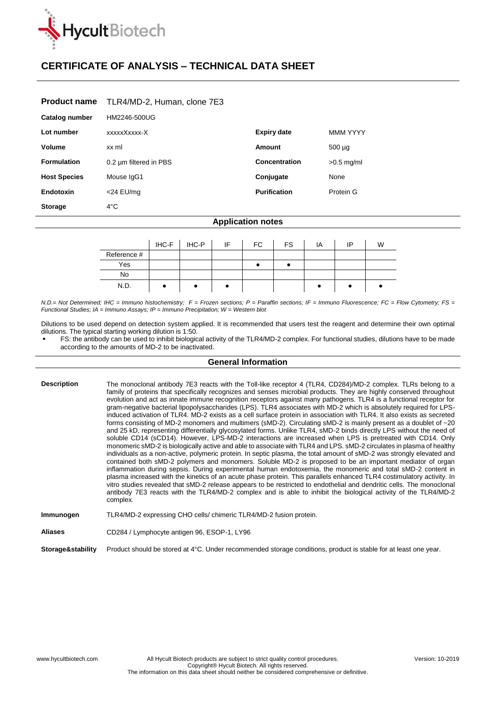

## **CERTIFICATE OF ANALYSIS – TECHNICAL DATA SHEET**

| <b>Product name</b> | TLR4/MD-2, Human, clone 7E3 |  |
|---------------------|-----------------------------|--|
|---------------------|-----------------------------|--|

| Catalog number      | HM2246-500UG           |                     |                 |
|---------------------|------------------------|---------------------|-----------------|
| Lot number          | xxxxxXxxxx-X           | <b>Expiry date</b>  | <b>MMM YYYY</b> |
| Volume              | xx ml                  | Amount              | $500 \mu q$     |
| <b>Formulation</b>  | 0.2 um filtered in PBS | Concentration       | $>0.5$ mg/ml    |
| <b>Host Species</b> | Mouse IgG1             | Conjugate           | None            |
| Endotoxin           | $<$ 24 EU/mg           | <b>Purification</b> | Protein G       |
| <b>Storage</b>      | $4^{\circ}$ C          |                     |                 |

## **Application notes**

|             | IHC-F | IHC-P | IF | FC. | <b>FS</b> | ΙA | ΙP | W |
|-------------|-------|-------|----|-----|-----------|----|----|---|
| Reference # |       |       |    |     |           |    |    |   |
| Yes         |       |       |    |     |           |    |    |   |
| <b>No</b>   |       |       |    |     |           |    |    |   |
| N.D.        |       |       |    |     |           |    |    |   |

*N.D.= Not Determined; IHC = Immuno histochemistry; F = Frozen sections; P = Paraffin sections; IF = Immuno Fluorescence; FC = Flow Cytometry; FS = Functional Studies; IA = Immuno Assays; IP = Immuno Precipitation; W = Western blot*

Dilutions to be used depend on detection system applied. It is recommended that users test the reagent and determine their own optimal dilutions. The typical starting working dilution is 1:50.

 FS: the antibody can be used to inhibit biological activity of the TLR4/MD-2 complex. For functional studies, dilutions have to be made according to the amounts of MD-2 to be inactivated.

## **General Information**

| <b>Description</b> | The monoclonal antibody 7E3 reacts with the Toll-like receptor 4 (TLR4, CD284)/MD-2 complex. TLRs belong to a<br>family of proteins that specifically recognizes and senses microbial products. They are highly conserved throughout<br>evolution and act as innate immune recognition receptors against many pathogens. TLR4 is a functional receptor for<br>gram-negative bacterial lipopolysaccharides (LPS). TLR4 associates with MD-2 which is absolutely required for LPS-<br>induced activation of TLR4. MD-2 exists as a cell surface protein in association with TLR4. It also exists as secreted<br>forms consisting of MD-2 monomers and multimers (sMD-2). Circulating sMD-2 is mainly present as a doublet of ~20<br>and 25 kD, representing differentially glycosylated forms. Unlike TLR4, sMD-2 binds directly LPS without the need of<br>soluble CD14 (sCD14). However, LPS-MD-2 interactions are increased when LPS is pretreated with CD14. Only<br>monomeric sMD-2 is biologically active and able to associate with TLR4 and LPS. sMD-2 circulates in plasma of healthy<br>individuals as a non-active, polymeric protein. In septic plasma, the total amount of sMD-2 was strongly elevated and<br>contained both sMD-2 polymers and monomers. Soluble MD-2 is proposed to be an important mediator of organ<br>inflammation during sepsis. During experimental human endotoxemia, the monomeric and total sMD-2 content in<br>plasma increased with the kinetics of an acute phase protein. This parallels enhanced TLR4 costimulatory activity. In<br>vitro studies revealed that sMD-2 release appears to be restricted to endothelial and dendritic cells. The monoclonal<br>antibody 7E3 reacts with the TLR4/MD-2 complex and is able to inhibit the biological activity of the TLR4/MD-2<br>complex. |
|--------------------|-----------------------------------------------------------------------------------------------------------------------------------------------------------------------------------------------------------------------------------------------------------------------------------------------------------------------------------------------------------------------------------------------------------------------------------------------------------------------------------------------------------------------------------------------------------------------------------------------------------------------------------------------------------------------------------------------------------------------------------------------------------------------------------------------------------------------------------------------------------------------------------------------------------------------------------------------------------------------------------------------------------------------------------------------------------------------------------------------------------------------------------------------------------------------------------------------------------------------------------------------------------------------------------------------------------------------------------------------------------------------------------------------------------------------------------------------------------------------------------------------------------------------------------------------------------------------------------------------------------------------------------------------------------------------------------------------------------------------------------------------------------------------------------------------------------------------------------|
| Immunogen          | TLR4/MD-2 expressing CHO cells/ chimeric TLR4/MD-2 fusion protein.                                                                                                                                                                                                                                                                                                                                                                                                                                                                                                                                                                                                                                                                                                                                                                                                                                                                                                                                                                                                                                                                                                                                                                                                                                                                                                                                                                                                                                                                                                                                                                                                                                                                                                                                                                |
| <b>Aliases</b>     | CD284 / Lymphocyte antigen 96, ESOP-1, LY96                                                                                                                                                                                                                                                                                                                                                                                                                                                                                                                                                                                                                                                                                                                                                                                                                                                                                                                                                                                                                                                                                                                                                                                                                                                                                                                                                                                                                                                                                                                                                                                                                                                                                                                                                                                       |

**Storage&stability** Product should be stored at 4°C. Under recommended storage conditions, product is stable for at least one year.